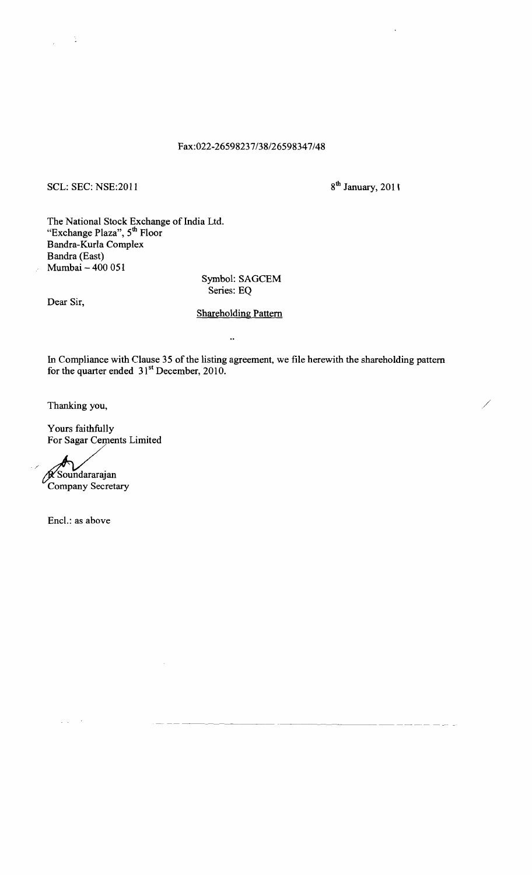### Fax:022-26598237/38/26598347/48

## SCL: SEC: NSE:2011  $8^{th}$  January, 2011

 $\sim 1$ 

The National Stock Exchange of India Ltd. "Exchange Plaza", 5<sup>th</sup> Floor Bandra-Kurla Complex Bandra (East) Mumbai  $-400051$ 

Symbol: SAGCEM Series: EQ

Dear Sir,

### Shareholding Pattern

 $\ddot{\phantom{a}}$ 

In Compliance with Clause 35 of the listing agreement, we file herewith the shareholding pattern for the quarter ended  $31<sup>st</sup>$  December, 2010.

Thanking you, /

Yours faithfully For Sagar Cements Limited

Company Secretary Soundararajan

/

Encl.: as above

 $\zeta_{\rm{max}} \sim 2$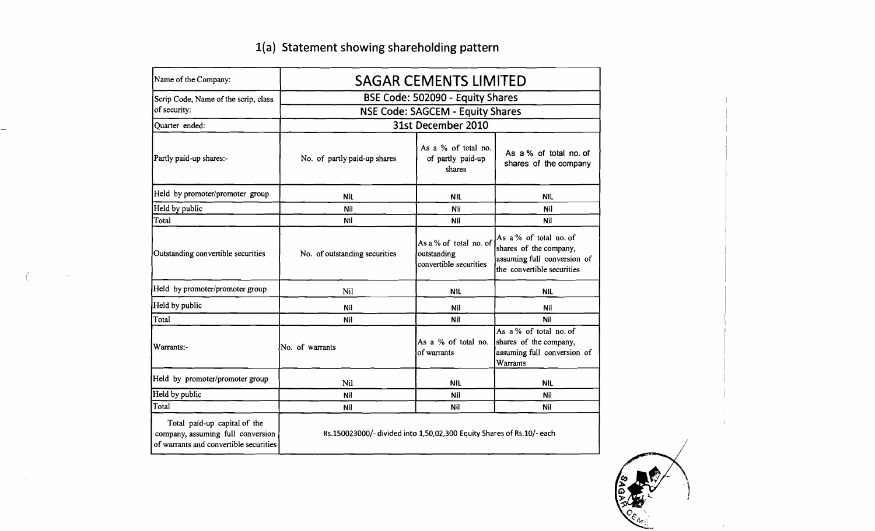| Name of the Company:                                                                                        |                                                                       | <b>SAGAR CEMENTS LIMITED</b>                                    |                                                                                                               |  |  |  |  |
|-------------------------------------------------------------------------------------------------------------|-----------------------------------------------------------------------|-----------------------------------------------------------------|---------------------------------------------------------------------------------------------------------------|--|--|--|--|
| Scrip Code, Name of the scrip, class                                                                        |                                                                       | BSE Code: 502090 - Equity Shares                                |                                                                                                               |  |  |  |  |
| of security:                                                                                                |                                                                       | <b>NSE Code: SAGCEM - Equity Shares</b>                         |                                                                                                               |  |  |  |  |
| Quarter ended:                                                                                              |                                                                       | 31st December 2010                                              |                                                                                                               |  |  |  |  |
| Partly paid-up shares:-                                                                                     | No. of partly paid-up shares                                          | As a % of total no.<br>of partly paid-up<br>shares              | As a % of total no. of<br>shares of the company                                                               |  |  |  |  |
| Held by promoter/promoter group                                                                             | <b>NIL</b>                                                            | <b>NIL</b>                                                      | <b>NIL</b>                                                                                                    |  |  |  |  |
| Held by public                                                                                              | Nil                                                                   | Nil                                                             | Nil                                                                                                           |  |  |  |  |
| Total                                                                                                       | Nil                                                                   | Nil                                                             | <b>Nil</b>                                                                                                    |  |  |  |  |
| Outstanding convertible securities                                                                          | No. of outstanding securities                                         | As a % of total no. of<br>outstanding<br>convertible securities | As a % of total no. of<br>shares of the company,<br>assuming full conversion of<br>the convertible securities |  |  |  |  |
| Held by promoter/promoter group                                                                             | <b>Nil</b>                                                            | <b>NIL</b>                                                      | <b>NIL</b>                                                                                                    |  |  |  |  |
| Held by public                                                                                              | Nil                                                                   | Nil                                                             | Nil                                                                                                           |  |  |  |  |
| Total                                                                                                       | Nil                                                                   | Nil                                                             | Nil                                                                                                           |  |  |  |  |
| Warrants:-                                                                                                  | No. of warrants                                                       | As a % of total no.<br>of warrants                              | As a % of total no. of<br>shares of the company,<br>assuming full conversion of<br>Warrants                   |  |  |  |  |
| Held by promoter/promoter group                                                                             | Nil                                                                   | <b>NIL</b>                                                      | <b>NIL</b>                                                                                                    |  |  |  |  |
| Held by public                                                                                              | Nil                                                                   | Nil                                                             | Nil                                                                                                           |  |  |  |  |
| Total                                                                                                       | Nil                                                                   | Nil                                                             | Nil                                                                                                           |  |  |  |  |
| Total paid-up capital of the<br>company, assuming full conversion<br>of warrants and convertible securities | Rs.150023000/- divided into 1,50,02,300 Equity Shares of Rs.10/- each |                                                                 |                                                                                                               |  |  |  |  |

 $\sim$ 

# 1(a) Statement showing shareholding pattern

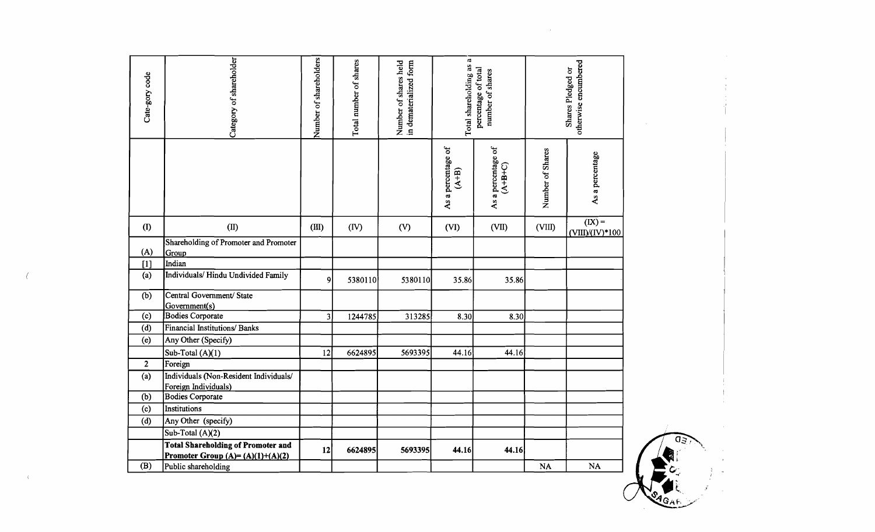| Cate-gory code | Category of shareholder                                        | Number of shareholders | Total number of shares | Number of shares held<br>in dematerialized form | $\mathbf{C}$<br>Total shareholding as<br>percentage of total<br>number of shares |                                 |                  | otherwise encumbered<br>Shares Pledged or |
|----------------|----------------------------------------------------------------|------------------------|------------------------|-------------------------------------------------|----------------------------------------------------------------------------------|---------------------------------|------------------|-------------------------------------------|
|                |                                                                |                        |                        |                                                 | As a percentage of<br>$(A+B)$                                                    | As a percentage of<br>$(A+2+C)$ | Number of Shares | As a percentage                           |
| (1)            | (II)                                                           | (III)                  | (IV)                   | (V)                                             | (VI)                                                                             | (VII)                           | (VIII)           | $(X) =$                                   |
| (A)            | Shareholding of Promoter and Promoter<br>Group                 |                        |                        |                                                 |                                                                                  |                                 |                  | $(VIII)/(IV)*100$                         |
| $[1]$          | Indian                                                         |                        |                        |                                                 |                                                                                  |                                 |                  |                                           |
| (a)            | Individuals/Hindu Undivided Family                             | $\mathbf{Q}$           | 5380110                | 5380110                                         | 35.86                                                                            | 35.86                           |                  |                                           |
| (b)            | Central Government/ State<br>Government(s)                     |                        |                        |                                                 |                                                                                  |                                 |                  |                                           |
| (c)            | <b>Bodies Corporate</b>                                        | 3                      | 1244785                | 313285                                          | 8.30                                                                             | 8.30                            |                  |                                           |
| (d)            | Financial Institutions/ Banks                                  |                        |                        |                                                 |                                                                                  |                                 |                  |                                           |
| (e)            | Any Other (Specify)                                            |                        |                        |                                                 |                                                                                  |                                 |                  |                                           |
|                | Sub-Total (A)(1)                                               | 12                     | 6624895                | 5693395                                         | 44.16                                                                            | 44.16                           |                  |                                           |
| $\overline{2}$ | Foreign                                                        |                        |                        |                                                 |                                                                                  |                                 |                  |                                           |
| (a)            | Individuals (Non-Resident Individuals/<br>Foreign Individuals) |                        |                        |                                                 |                                                                                  |                                 |                  |                                           |
| (b)            | Bodies Corporate                                               |                        |                        |                                                 |                                                                                  |                                 |                  |                                           |
| (c)            | Institutions                                                   |                        |                        |                                                 |                                                                                  |                                 |                  |                                           |
| (d)            | Any Other (specify)                                            |                        |                        |                                                 |                                                                                  |                                 |                  |                                           |
|                | Sub-Total (A)(2)                                               |                        |                        |                                                 |                                                                                  |                                 |                  |                                           |
|                | <b>Total Shareholding of Promoter and</b>                      | 12                     | 6624895                | 5693395                                         | 44.16                                                                            | 44.16                           |                  |                                           |
|                | Promoter Group $(A)=(A)(1)+(A)(2)$                             |                        |                        |                                                 |                                                                                  |                                 |                  |                                           |
| (B)            | Public shareholding                                            |                        |                        |                                                 |                                                                                  |                                 | NA               | $\mathbf{NA}$                             |

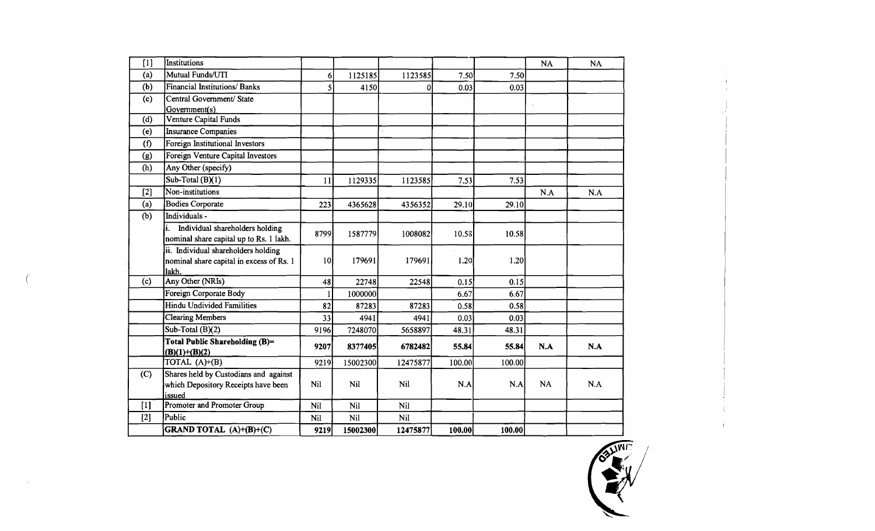| $[1]$ | Institutions                                                                             |               |          |            |        |        | <b>NA</b> | <b>NA</b> |
|-------|------------------------------------------------------------------------------------------|---------------|----------|------------|--------|--------|-----------|-----------|
| (a)   | Mutual Funds/UTI                                                                         | $\mathbf{6}$  | 1125185  | 1123585    | 7.50   | 7.50   |           |           |
| (b)   | <b>Financial Institutions/Banks</b>                                                      | $\mathcal{S}$ | 4150     | 0          | 0.03   | 0.03   |           |           |
| (c)   | Central Government/ State<br>Government(s)                                               |               |          |            |        |        |           |           |
| (d)   | Venture Capital Funds                                                                    |               |          |            |        |        |           |           |
| (e)   | <b>Insurance Companies</b>                                                               |               |          |            |        |        |           |           |
| (f)   | Foreign Institutional Investors                                                          |               |          |            |        |        |           |           |
| (g)   | Foreign Venture Capital Investors                                                        |               |          |            |        |        |           |           |
| (h)   | Any Other (specify)                                                                      |               |          |            |        |        |           |           |
|       | Sub-Total (B)(1)                                                                         | 11            | 1129335  | 1123585    | 7.53   | 7.53   |           |           |
| $[2]$ | Non-institutions                                                                         |               |          |            |        |        | N.A       | N.A       |
| (a)   | <b>Bodies Corporate</b>                                                                  | 223           | 4365628  | 4356352    | 29.10  | 29.10  |           |           |
| (b)   | Individuals -                                                                            |               |          |            |        |        |           |           |
|       | Individual shareholders holding<br>nominal share capital up to Rs. 1 lakh.               | 8799          | 1587779  | 1008082    | 10.58  | 10.58  |           |           |
|       | ii. Individual shareholders holding<br>nominal share capital in excess of Rs. 1<br>lakh. | 0             | 179691   | 179691     | 1.20   | 1.20   |           |           |
| (c)   | Any Other (NRIs)                                                                         | 48            | 22748    | 22548      | 0.15   | 0.15   |           |           |
|       | Foreign Corporate Body                                                                   |               | 1000000  |            | 6.67   | 6.67   |           |           |
|       | Hindu Undivided Familities                                                               | 82            | 87283    | 87283      | 0.58   | 0.58   |           |           |
|       | Clearing Members                                                                         | 33            | 4941     | 4941       | 0.03   | 0.03   |           |           |
|       | Sub-Total $(B)(2)$                                                                       | 9196          | 7248070  | 5658897    | 48.31  | 48.31  |           |           |
|       | <b>Total Public Shareholding (B)=</b><br>$(B)(1)+(B)(2)$                                 | 9207          | 8377405  | 6782482    | 55.84  | 55.84  | N.A       | N.A       |
|       | TOTAL (A)+(B)                                                                            | 9219          | 15002300 | 12475877   | 100.00 | 100.00 |           |           |
| (C)   | Shares held by Custodians and against<br>which Depository Receipts have been<br>issued   | <b>Nil</b>    | Nil      | <b>Nil</b> | N.A    | N.A    | NA        | N.A       |
| $[1]$ | Promoter and Promoter Group                                                              | Nil           | Nil      | Nil        |        |        |           |           |
| $[2]$ | Public                                                                                   | Nil           | Nil      | Nil        |        |        |           |           |
|       | <b>GRAND TOTAL</b> $(A)+(B)+(C)$                                                         | 9219          | 15002300 | 12475877   | 100.00 | 100.00 |           |           |

(

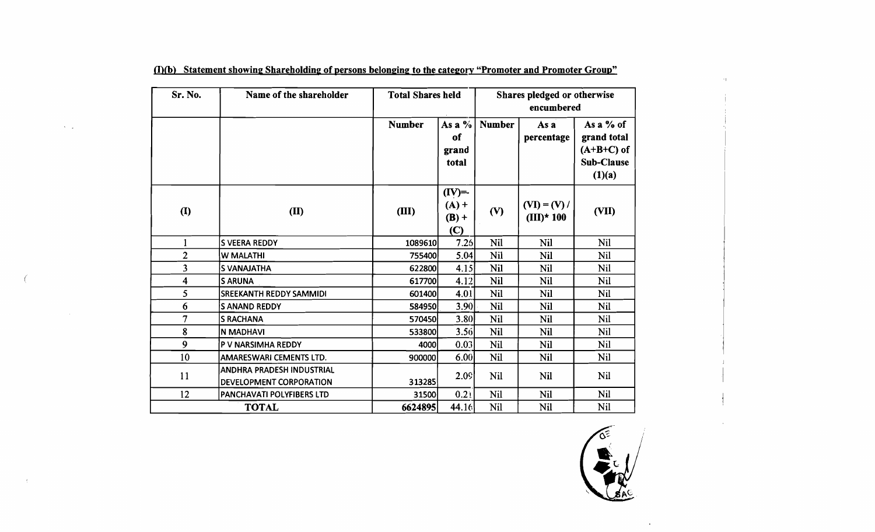| Sr. No.                     | Name of the shareholder                                     | <b>Total Shares held</b> |                                               |               | Shares pledged or otherwise<br>encumbered |                                                                    |
|-----------------------------|-------------------------------------------------------------|--------------------------|-----------------------------------------------|---------------|-------------------------------------------|--------------------------------------------------------------------|
|                             |                                                             | <b>Number</b>            | As a $\%$<br>of<br>grand<br>total             | <b>Number</b> | As a<br>percentage                        | As a $%$ of<br>grand total<br>$(A+B+C)$ of<br>Sub-Clause<br>(1)(a) |
| $\left( \mathbf{I} \right)$ | (II)                                                        | (III)                    | $(IV)=$<br>$(A) +$<br>$(B) +$<br>$\mathbf{C}$ | (V)           | $(VI) = (V) /$<br>$(III)*100$             | (VII)                                                              |
|                             | <b>S VEERA REDDY</b>                                        | 1089610                  | 7.26                                          | Nil           | <b>Nil</b>                                | <b>Nil</b>                                                         |
| $\overline{2}$              | <b>W MALATHI</b>                                            | 755400                   | 5.04                                          | Nil           | Nil                                       | Nil                                                                |
| $\overline{\mathbf{3}}$     | <b>S VANAJATHA</b>                                          | 622800                   | 4.15                                          | <b>Nil</b>    | <b>Nil</b>                                | Nil                                                                |
| 4                           | <b>S ARUNA</b>                                              | 617700                   | 4.12                                          | Nil           | Nil                                       | <b>Nil</b>                                                         |
| 5                           | <b>SREEKANTH REDDY SAMMIDI</b>                              | 601400                   | 4.01                                          | Nil           | <b>Nil</b>                                | <b>Nil</b>                                                         |
| 6                           | <b>S ANAND REDDY</b>                                        | 584950                   | 3.90                                          | Nil           | <b>Nil</b>                                | <b>Nil</b>                                                         |
| 7                           | <b>S RACHANA</b>                                            | 570450                   | 3.80                                          | Nil           | <b>Nil</b>                                | <b>Nil</b>                                                         |
| 8                           | N MADHAVI                                                   | 533800                   | 3.56                                          | <b>Nil</b>    | <b>Nil</b>                                | Nil                                                                |
| 9                           | P V NARSIMHA REDDY                                          | 4000                     | 0.03                                          | Nil           | <b>Nil</b>                                | <b>Nil</b>                                                         |
| 10                          | AMARESWARI CEMENTS LTD.                                     | 900000                   | 6.00                                          | Nil           | <b>Nil</b>                                | Nil                                                                |
| 11                          | <b>ANDHRA PRADESH INDUSTRIAL</b><br>DEVELOPMENT CORPORATION | 313285                   | 2.09                                          | <b>Nil</b>    | Nil                                       | Nil                                                                |
| 12                          | PANCHAVATI POLYFIBERS LTD                                   | 31500                    | 0.21                                          | <b>Nil</b>    | <b>Nil</b>                                | Nil                                                                |
|                             | <b>TOTAL</b>                                                | 6624895                  | 44.16                                         | <b>Nil</b>    | Nil                                       | <b>Nil</b>                                                         |

(I)(b) Statement showing Shareholding of persons belonging to the category "Promoter and Promoter Group"

 $\lambda = \omega$ 

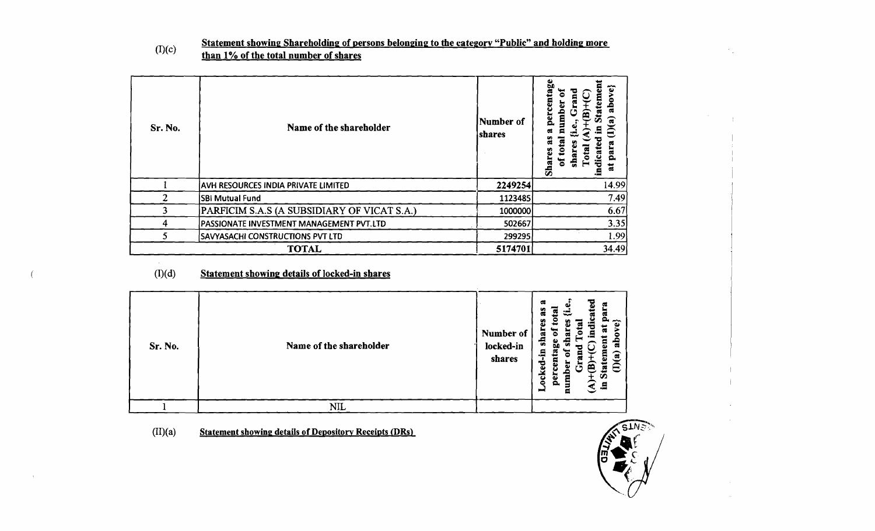$(I)(c)$  Statement showing Shareholding of persons belonging to the category "Public" and holding more than 1% of the total number of shares

| Sr. No. | Name of the shareholder                     | Number of<br>shares | entage<br>ye}<br>Ε<br>mbe<br>perce<br>$\overline{\mathbf{a}}$<br>କ<br>Ā<br>σ<br>ä<br>рага<br>9<br>စ္မ<br>dica<br>shai<br>៩<br>Shar<br>ä<br>Ě. |
|---------|---------------------------------------------|---------------------|-----------------------------------------------------------------------------------------------------------------------------------------------|
|         | AVH RESOURCES INDIA PRIVATE LIMITED         | 2249254             | 14.99                                                                                                                                         |
| 2       | <b>SBI Mutual Fund</b>                      | 1123485             | 7.49                                                                                                                                          |
|         | PARFICIM S.A.S (A SUBSIDIARY OF VICAT S.A.) | 1000000             | 6.67                                                                                                                                          |
| 4       | PASSIONATE INVESTMENT MANAGEMENT PVT.LTD    | 502667              | 3.35                                                                                                                                          |
|         | <b>SAVYASACHI CONSTRUCTIONS PVT LTD</b>     | 299295              | 1.99                                                                                                                                          |
|         | <b>TOTAL</b>                                | 5174701             | 34.49                                                                                                                                         |

### (I)(d) Statement showing details of locked-in shares

| Sr. No. | Name of the shareholder | Number of<br>locked-in<br>shares | $\mathfrak{a}$<br>≂<br>cate<br>ă<br>≅<br>ದೆ<br>S<br>∼<br>ω<br>shar<br>읂<br>ge<br>ocked-in<br>ē<br>Е<br>ିକ<br>ſ<br>ε<br>ಠ<br>Ē<br>œ<br><b>PET</b><br>Ō<br>$\Xi$<br>$\blacksquare$ |
|---------|-------------------------|----------------------------------|----------------------------------------------------------------------------------------------------------------------------------------------------------------------------------|
|         | <b>NIL</b>              |                                  |                                                                                                                                                                                  |

 $(II)(a)$  Statement showing details of Depository Receipts (DRs)



 $\mathcal{F}_{\rm{int}}$ 

 $\sqrt{ }$ 

 $\rightarrow$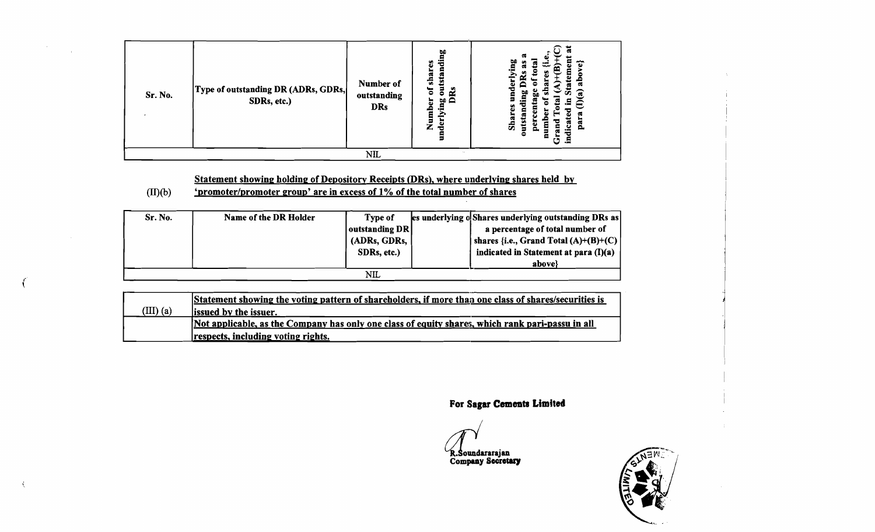| Sr. No. | Type of outstanding DR (ADRs, GDRs,<br>SDRs, etc.) | Number of<br>outstanding<br><b>DRs</b> | ы<br>₹<br>ő<br>shar<br>▭<br>tstai<br>$\overline{5}$<br>'ត<br>చి<br>Number<br>Ρů<br>≘<br>derlyir<br>2 | œ<br>ы<br>ా<br>ัส<br>ᅃ<br>Ξ<br>œ<br>Shai<br>ār<br>5<br>-<br>0<br>Ξ<br>.9<br>U |
|---------|----------------------------------------------------|----------------------------------------|------------------------------------------------------------------------------------------------------|-------------------------------------------------------------------------------|
|         |                                                    | <b>NIL</b>                             | $\sim$ $\sim$                                                                                        |                                                                               |

# Statement showing holding of Depository Receipts (DRs), where underlying shares held by<br>'promoter/promoter group' are in excess of 1% of the total number of shares

### $(II)(b)$

 $\sim$ 

 $\mathcal{L}$ 

| Sr. No. | Name of the DR Holder | <b>Type of</b> | les underlying o Shares underlying outstanding DRs as |
|---------|-----------------------|----------------|-------------------------------------------------------|
|         |                       | outstanding DR | a percentage of total number of                       |
|         |                       | (ADRs, GDRs,   | shares {i.e., Grand Total $(A)+(B)+(C)$               |
|         |                       | SDRs, etc.)    | indicated in Statement at para (I)(a)                 |
|         |                       |                | above?                                                |
|         |                       | NIL            |                                                       |

|             | Statement showing the voting pattern of shareholders, if more than one class of shares/securities is |
|-------------|------------------------------------------------------------------------------------------------------|
| $(III)$ (a) | <b>lissued by the issuer.</b>                                                                        |
|             | Not applicable, as the Company has only one class of equity shares, which rank pari-passu in all     |
|             | respects, including voting rights.                                                                   |

For Sagar Cements Limited

R.Soundararajan<br>Company Secretary

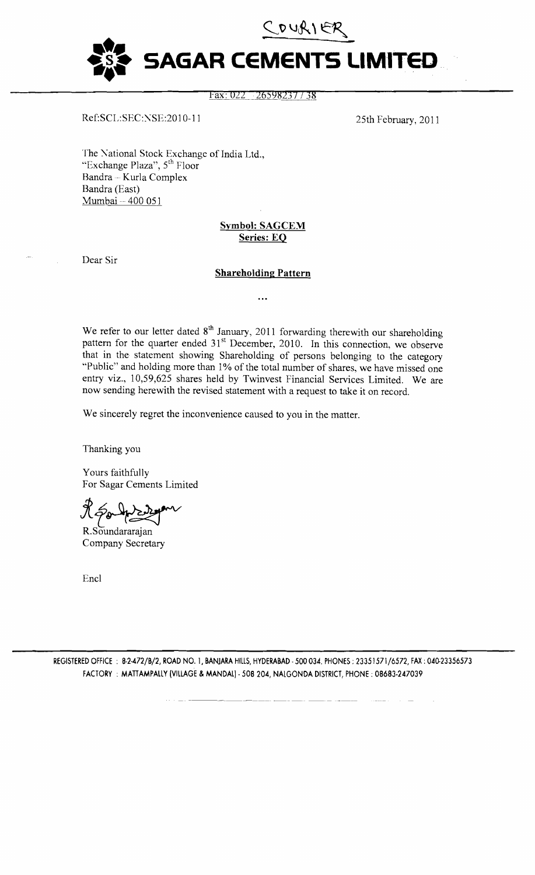

### Fax: 022 26598237 / 38

Ref:SCL:SEC:NSE:2010-11 25th February, 2011

The National Stock Exchange of India Ltd., "Exchange Plaza", 5<sup>th</sup> Floor Bandra -- Kurla Complex Bandra (East) Mumbai -- 400 051

### Symbol: SAGCEM Series: EQ

Dear Sir

### Shareholding Pattern

. . .

We refer to our letter dated  $8<sup>th</sup>$  January, 2011 forwarding therewith our shareholding pattern for the quarter ended  $31<sup>st</sup>$  December, 2010. In this connection, we observe that in the statement showing Shareholding of persons belonging to the category "Public" and holding more than 1% of the total number of shares, we have missed one entry viz., 10,59,625 shares held by Twinvest Financial Services Limited. We are now sending herewith the revised statement with a request to take it on record.

We sincerely regret the inconvenience caused to you in the matter.

Thanking you

Yours faithfully For Sagar Cements Limited

K souhand we had

R.Soundararajan Company Secretary

Encl

REGISTERED OFFICE : 8-2-472/B/2, ROAD NO. 1, BANJARA HILLS, HYDERABAD - 500 034. PHONES : 23351571/6572, FAX: 040-23356573 FACTORY: MATIAMPALLY (VILLAGE & MANDAL)· 508204, NALGONDA DISTRICT, PHONE; 08683·247039